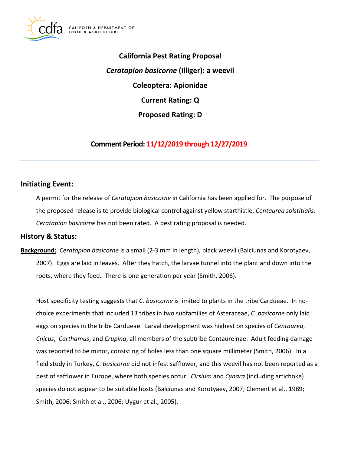

**California Pest Rating Proposal** *Ceratapion basicorne* **(Illiger): a weevil Coleoptera: Apionidae Current Rating: Q Proposed Rating: D**

# **Comment Period: 11/12/2019 through 12/27/2019**

## **Initiating Event:**

A permit for the release of *Ceratapion basicorne* in California has been applied for. The purpose of the proposed release is to provide biological control against yellow starthistle, *Centaurea solstitialis*. *Ceratapion basicorne* has not been rated. A pest rating proposal is needed.

### **History & Status:**

**Background:** *Ceratapion basicorne* is a small (2-3 mm in length), black weevil (Balciunas and Korotyaev, 2007). Eggs are laid in leaves. After they hatch, the larvae tunnel into the plant and down into the roots, where they feed. There is one generation per year (Smith, 2006).

Host specificity testing suggests that *C. basicorne* is limited to plants in the tribe Cardueae. In nochoice experiments that included 13 tribes in two subfamilies of Asteraceae, *C. basicorne* only laid eggs on species in the tribe Cardueae. Larval development was highest on species of *Centaurea*, *Cnicus*, *Carthamus*, and *Crupina*, all members of the subtribe Centaureinae. Adult feeding damage was reported to be minor, consisting of holes less than one square millimeter (Smith, 2006). In a field study in Turkey, *C. basicorne* did not infest safflower, and this weevil has not been reported as a pest of safflower in Europe, where both species occur. *Cirsium* and *Cynara* (including artichoke) species do not appear to be suitable hosts (Balciunas and Korotyaev, 2007; Clement et al., 1989; Smith, 2006; Smith et al., 2006; Uygur et al., 2005).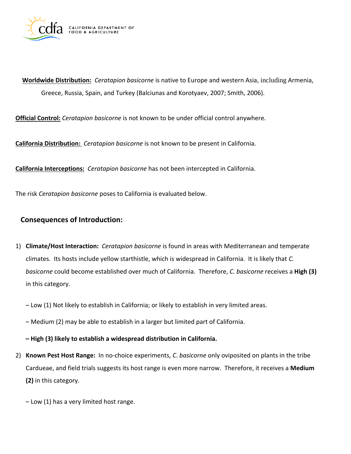

**Worldwide Distribution:** *Ceratapion basicorne* is native to Europe and western Asia, including Armenia, Greece, Russia, Spain, and Turkey (Balciunas and Korotyaev, 2007; Smith, 2006).

**Official Control:** *Ceratapion basicorne* is not known to be under official control anywhere.

**California Distribution:** *Ceratapion basicorne* is not known to be present in California.

**California Interceptions:** *Ceratapion basicorne* has not been intercepted in California.

The risk *Ceratapion basicorne* poses to California is evaluated below.

## **Consequences of Introduction:**

- 1) **Climate/Host Interaction:** *Ceratapion basicorne* is found in areas with Mediterranean and temperate climates. Its hosts include yellow starthistle, which is widespread in California. It is likely that *C. basicorne* could become established over much of California. Therefore, *C. basicorne* receives a **High (3)** in this category.
	- Low (1) Not likely to establish in California; or likely to establish in very limited areas.
	- Medium (2) may be able to establish in a larger but limited part of California.

**– High (3) likely to establish a widespread distribution in California.**

- 2) **Known Pest Host Range:** In no-choice experiments, *C*. *basicorne* only oviposited on plants in the tribe Cardueae, and field trials suggests its host range is even more narrow. Therefore, it receives a **Medium (2)** in this category.
	- Low (1) has a very limited host range.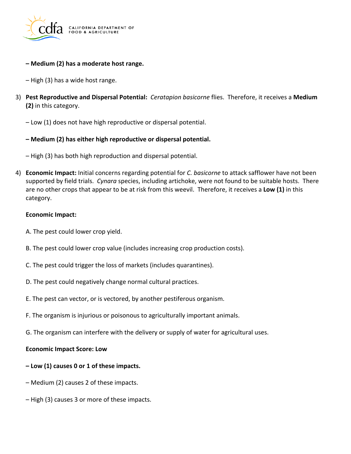

- **– Medium (2) has a moderate host range.**
- High (3) has a wide host range.
- 3) **Pest Reproductive and Dispersal Potential:** *Ceratapion basicorne* flies. Therefore, it receives a **Medium (2)** in this category.
	- Low (1) does not have high reproductive or dispersal potential.
	- **– Medium (2) has either high reproductive or dispersal potential.**
	- High (3) has both high reproduction and dispersal potential.
- 4) **Economic Impact:** Initial concerns regarding potential for *C. basicorne* to attack safflower have not been supported by field trials. *Cynara* species, including artichoke, were not found to be suitable hosts. There are no other crops that appear to be at risk from this weevil. Therefore, it receives a **Low (1)** in this category.

#### **Economic Impact:**

- A. The pest could lower crop yield.
- B. The pest could lower crop value (includes increasing crop production costs).
- C. The pest could trigger the loss of markets (includes quarantines).
- D. The pest could negatively change normal cultural practices.
- E. The pest can vector, or is vectored, by another pestiferous organism.
- F. The organism is injurious or poisonous to agriculturally important animals.
- G. The organism can interfere with the delivery or supply of water for agricultural uses.

#### **Economic Impact Score: Low**

- **– Low (1) causes 0 or 1 of these impacts.**
- Medium (2) causes 2 of these impacts.
- High (3) causes 3 or more of these impacts.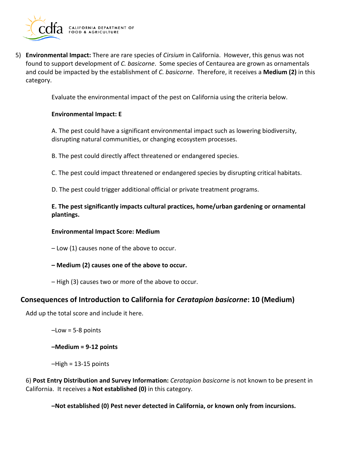

5) **Environmental Impact:** There are rare species of *Cirsium* in California. However, this genus was not found to support development of *C. basicorne*. Some species of Centaurea are grown as ornamentals and could be impacted by the establishment of *C. basicorne*. Therefore, it receives a **Medium (2)** in this category.

Evaluate the environmental impact of the pest on California using the criteria below.

#### **Environmental Impact: E**

A. The pest could have a significant environmental impact such as lowering biodiversity, disrupting natural communities, or changing ecosystem processes.

B. The pest could directly affect threatened or endangered species.

C. The pest could impact threatened or endangered species by disrupting critical habitats.

D. The pest could trigger additional official or private treatment programs.

**E. The pest significantly impacts cultural practices, home/urban gardening or ornamental plantings.**

#### **Environmental Impact Score: Medium**

– Low (1) causes none of the above to occur.

- **– Medium (2) causes one of the above to occur.**
- High (3) causes two or more of the above to occur.

### **Consequences of Introduction to California for** *Ceratapion basicorne***: 10 (Medium)**

Add up the total score and include it here.

–Low = 5-8 points

**–Medium = 9-12 points**

 $-High = 13-15$  points

6) **Post Entry Distribution and Survey Information:** *Ceratapion basicorne* is not known to be present in California. It receives a **Not established (0)** in this category.

**–Not established (0) Pest never detected in California, or known only from incursions.**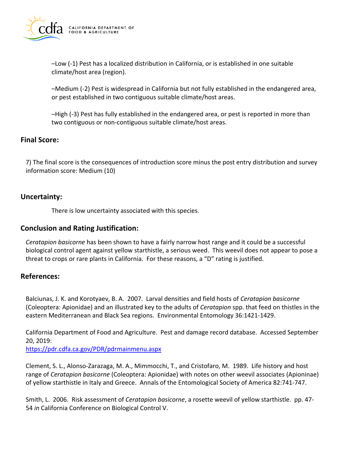

–Low (-1) Pest has a localized distribution in California, or is established in one suitable climate/host area (region).

–Medium (-2) Pest is widespread in California but not fully established in the endangered area, or pest established in two contiguous suitable climate/host areas.

–High (-3) Pest has fully established in the endangered area, or pest is reported in more than two contiguous or non-contiguous suitable climate/host areas.

## **Final Score:**

7) The final score is the consequences of introduction score minus the post entry distribution and survey information score: Medium (10)

## **Uncertainty:**

There is low uncertainty associated with this species.

## **Conclusion and Rating Justification:**

*Ceratapion basicorne* has been shown to have a fairly narrow host range and it could be a successful biological control agent against yellow starthistle, a serious weed. This weevil does not appear to pose a threat to crops or rare plants in California. For these reasons, a "D" rating is justified.

### **References:**

Balciunas, J. K. and Korotyaev, B. A. 2007. Larval densities and field hosts of *Ceratapion basicorne* (Coleoptera: Apionidae) and an illustrated key to the adults of *Ceratapion* spp. that feed on thistles in the eastern Mediterranean and Black Sea regions. Environmental Entomology 36:1421-1429.

California Department of Food and Agriculture. Pest and damage record database. Accessed September 20, 2019:

<https://pdr.cdfa.ca.gov/PDR/pdrmainmenu.aspx>

Clement, S. L., Alonso-Zarazaga, M. A., Mimmocchi, T., and Cristofaro, M. 1989. Life history and host range of *Ceratapion basicorne* (Coleoptera: Apionidae) with notes on other weevil associates (Apioninae) of yellow starthistle in Italy and Greece. Annals of the Entomological Society of America 82:741-747.

Smith, L. 2006. Risk assessment of *Ceratapion basicorne*, a rosette weevil of yellow starthistle. pp. 47- 54 *in* California Conference on Biological Control V.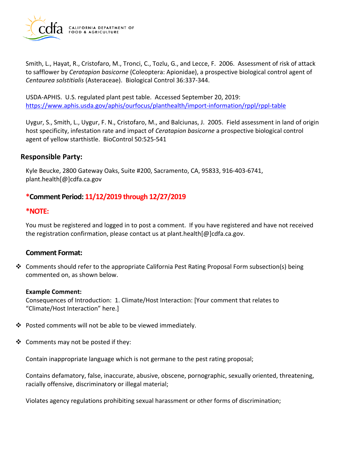

Smith, L., Hayat, R., Cristofaro, M., Tronci, C., Tozlu, G., and Lecce, F. 2006. Assessment of risk of attack to safflower by *Ceratapion basicorne* (Coleoptera: Apionidae), a prospective biological control agent of *Centaurea solstitialis* (Asteraceae). Biological Control 36:337-344.

USDA-APHIS. U.S. regulated plant pest table. Accessed September 20, 2019: <https://www.aphis.usda.gov/aphis/ourfocus/planthealth/import-information/rppl/rppl-table>

Uygur, S., Smith, L., Uygur, F. N., Cristofaro, M., and Balciunas, J. 2005. Field assessment in land of origin host specificity, infestation rate and impact of *Ceratapion basicorne* a prospective biological control agent of yellow starthistle. BioControl 50:525-541

## **Responsible Party:**

Kyle Beucke, 2800 Gateway Oaks, Suite #200, Sacramento, CA, 95833, 916-403-6741, plant.health[@]cdfa.ca.gov

## **\*Comment Period: 11/12/2019 through 12/27/2019**

### **\*NOTE:**

You must be registered and logged in to post a comment. If you have registered and have not received the registration confirmation, please contact us at plant.health[@]cdfa.ca.gov.

### **Comment Format:**

❖ Comments should refer to the appropriate California Pest Rating Proposal Form subsection(s) being commented on, as shown below.

#### **Example Comment:**

Consequences of Introduction: 1. Climate/Host Interaction: [Your comment that relates to "Climate/Host Interaction" here.]

- ❖ Posted comments will not be able to be viewed immediately.
- ❖ Comments may not be posted if they:

Contain inappropriate language which is not germane to the pest rating proposal;

Contains defamatory, false, inaccurate, abusive, obscene, pornographic, sexually oriented, threatening, racially offensive, discriminatory or illegal material;

Violates agency regulations prohibiting sexual harassment or other forms of discrimination;